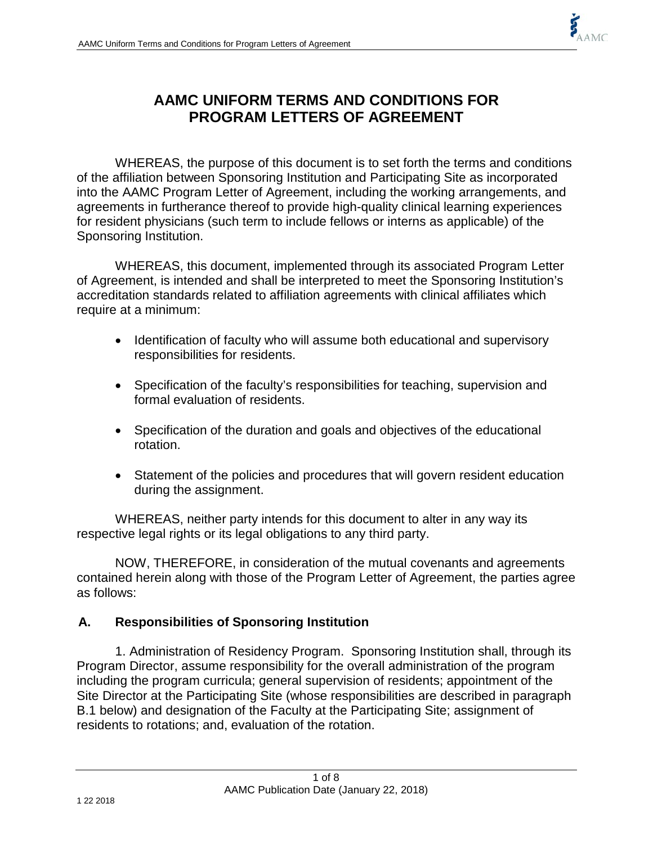

# **AAMC UNIFORM TERMS AND CONDITIONS FOR PROGRAM LETTERS OF AGREEMENT**

WHEREAS, the purpose of this document is to set forth the terms and conditions of the affiliation between Sponsoring Institution and Participating Site as incorporated into the AAMC Program Letter of Agreement, including the working arrangements, and agreements in furtherance thereof to provide high-quality clinical learning experiences for resident physicians (such term to include fellows or interns as applicable) of the Sponsoring Institution.

WHEREAS, this document, implemented through its associated Program Letter of Agreement, is intended and shall be interpreted to meet the Sponsoring Institution's accreditation standards related to affiliation agreements with clinical affiliates which require at a minimum:

- Identification of faculty who will assume both educational and supervisory responsibilities for residents.
- Specification of the faculty's responsibilities for teaching, supervision and formal evaluation of residents.
- Specification of the duration and goals and objectives of the educational rotation.
- Statement of the policies and procedures that will govern resident education during the assignment.

WHEREAS, neither party intends for this document to alter in any way its respective legal rights or its legal obligations to any third party.

NOW, THEREFORE, in consideration of the mutual covenants and agreements contained herein along with those of the Program Letter of Agreement, the parties agree as follows:

# **A. Responsibilities of Sponsoring Institution**

1. Administration of Residency Program. Sponsoring Institution shall, through its Program Director, assume responsibility for the overall administration of the program including the program curricula; general supervision of residents; appointment of the Site Director at the Participating Site (whose responsibilities are described in paragraph B.1 below) and designation of the Faculty at the Participating Site; assignment of residents to rotations; and, evaluation of the rotation.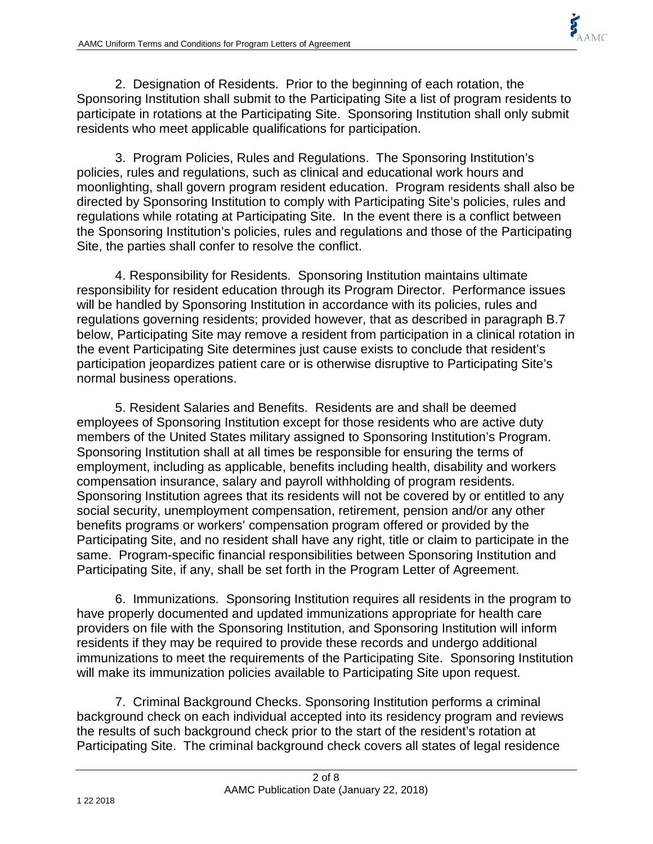2. Designation of Residents. Prior to the beginning of each rotation, the Sponsoring Institution shall submit to the Participating Site a list of program residents to participate in rotations at the Participating Site. Sponsoring Institution shall only submit residents who meet applicable qualifications for participation.

3. Program Policies, Rules and Regulations. The Sponsoring Institution's policies, rules and regulations, such as clinical and educational work hours and moonlighting, shall govern program resident education. Program residents shall also be directed by Sponsoring Institution to comply with Participating Site's policies, rules and regulations while rotating at Participating Site. In the event there is a conflict between the Sponsoring Institution's policies, rules and regulations and those of the Participating Site, the parties shall confer to resolve the conflict.

4. Responsibility for Residents. Sponsoring Institution maintains ultimate responsibility for resident education through its Program Director. Performance issues will be handled by Sponsoring Institution in accordance with its policies, rules and regulations governing residents; provided however, that as described in paragraph B.7 below, Participating Site may remove a resident from participation in a clinical rotation in the event Participating Site determines just cause exists to conclude that resident's participation jeopardizes patient care or is otherwise disruptive to Participating Site's normal business operations.

5. Resident Salaries and Benefits. Residents are and shall be deemed employees of Sponsoring Institution except for those residents who are active duty members of the United States military assigned to Sponsoring Institution's Program. Sponsoring Institution shall at all times be responsible for ensuring the terms of employment, including as applicable, benefits including health, disability and workers compensation insurance, salary and payroll withholding of program residents. Sponsoring Institution agrees that its residents will not be covered by or entitled to any social security, unemployment compensation, retirement, pension and/or any other benefits programs or workers' compensation program offered or provided by the Participating Site, and no resident shall have any right, title or claim to participate in the same. Program-specific financial responsibilities between Sponsoring Institution and Participating Site, if any, shall be set forth in the Program Letter of Agreement.

6. Immunizations. Sponsoring Institution requires all residents in the program to have properly documented and updated immunizations appropriate for health care providers on file with the Sponsoring Institution, and Sponsoring Institution will inform residents if they may be required to provide these records and undergo additional immunizations to meet the requirements of the Participating Site. Sponsoring Institution will make its immunization policies available to Participating Site upon request.

7. Criminal Background Checks. Sponsoring Institution performs a criminal background check on each individual accepted into its residency program and reviews the results of such background check prior to the start of the resident's rotation at Participating Site. The criminal background check covers all states of legal residence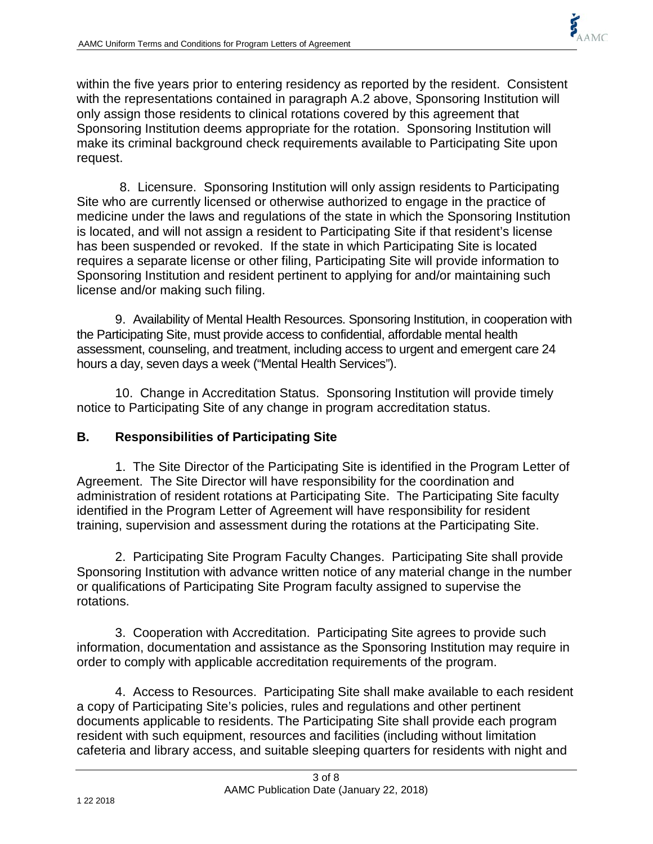within the five years prior to entering residency as reported by the resident. Consistent with the representations contained in paragraph A.2 above, Sponsoring Institution will only assign those residents to clinical rotations covered by this agreement that Sponsoring Institution deems appropriate for the rotation. Sponsoring Institution will make its criminal background check requirements available to Participating Site upon request.

8. Licensure. Sponsoring Institution will only assign residents to Participating Site who are currently licensed or otherwise authorized to engage in the practice of medicine under the laws and regulations of the state in which the Sponsoring Institution is located, and will not assign a resident to Participating Site if that resident's license has been suspended or revoked. If the state in which Participating Site is located requires a separate license or other filing, Participating Site will provide information to Sponsoring Institution and resident pertinent to applying for and/or maintaining such license and/or making such filing.

9. Availability of Mental Health Resources. Sponsoring Institution, in cooperation with the Participating Site, must provide access to confidential, affordable mental health assessment, counseling, and treatment, including access to urgent and emergent care 24 hours a day, seven days a week ("Mental Health Services").

10. Change in Accreditation Status. Sponsoring Institution will provide timely notice to Participating Site of any change in program accreditation status.

# **B. Responsibilities of Participating Site**

1. The Site Director of the Participating Site is identified in the Program Letter of Agreement. The Site Director will have responsibility for the coordination and administration of resident rotations at Participating Site. The Participating Site faculty identified in the Program Letter of Agreement will have responsibility for resident training, supervision and assessment during the rotations at the Participating Site.

2. Participating Site Program Faculty Changes. Participating Site shall provide Sponsoring Institution with advance written notice of any material change in the number or qualifications of Participating Site Program faculty assigned to supervise the rotations.

3. Cooperation with Accreditation. Participating Site agrees to provide such information, documentation and assistance as the Sponsoring Institution may require in order to comply with applicable accreditation requirements of the program.

4. Access to Resources. Participating Site shall make available to each resident a copy of Participating Site's policies, rules and regulations and other pertinent documents applicable to residents. The Participating Site shall provide each program resident with such equipment, resources and facilities (including without limitation cafeteria and library access, and suitable sleeping quarters for residents with night and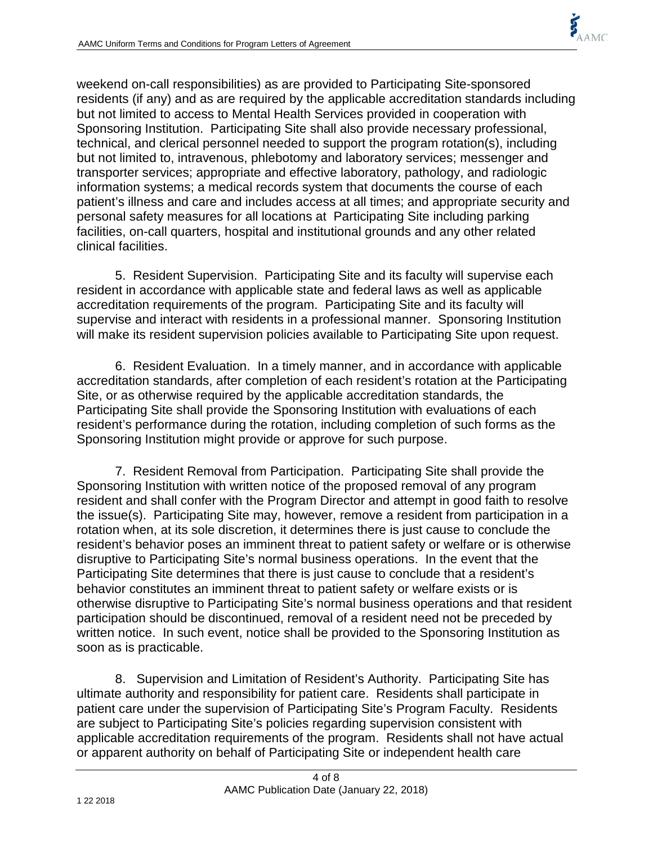weekend on-call responsibilities) as are provided to Participating Site-sponsored residents (if any) and as are required by the applicable accreditation standards including but not limited to access to Mental Health Services provided in cooperation with Sponsoring Institution. Participating Site shall also provide necessary professional, technical, and clerical personnel needed to support the program rotation(s), including but not limited to, intravenous, phlebotomy and laboratory services; messenger and transporter services; appropriate and effective laboratory, pathology, and radiologic information systems; a medical records system that documents the course of each patient's illness and care and includes access at all times; and appropriate security and personal safety measures for all locations at Participating Site including parking facilities, on-call quarters, hospital and institutional grounds and any other related clinical facilities.

5. Resident Supervision. Participating Site and its faculty will supervise each resident in accordance with applicable state and federal laws as well as applicable accreditation requirements of the program. Participating Site and its faculty will supervise and interact with residents in a professional manner. Sponsoring Institution will make its resident supervision policies available to Participating Site upon request.

6. Resident Evaluation. In a timely manner, and in accordance with applicable accreditation standards, after completion of each resident's rotation at the Participating Site, or as otherwise required by the applicable accreditation standards, the Participating Site shall provide the Sponsoring Institution with evaluations of each resident's performance during the rotation, including completion of such forms as the Sponsoring Institution might provide or approve for such purpose.

7. Resident Removal from Participation. Participating Site shall provide the Sponsoring Institution with written notice of the proposed removal of any program resident and shall confer with the Program Director and attempt in good faith to resolve the issue(s). Participating Site may, however, remove a resident from participation in a rotation when, at its sole discretion, it determines there is just cause to conclude the resident's behavior poses an imminent threat to patient safety or welfare or is otherwise disruptive to Participating Site's normal business operations. In the event that the Participating Site determines that there is just cause to conclude that a resident's behavior constitutes an imminent threat to patient safety or welfare exists or is otherwise disruptive to Participating Site's normal business operations and that resident participation should be discontinued, removal of a resident need not be preceded by written notice. In such event, notice shall be provided to the Sponsoring Institution as soon as is practicable.

8. Supervision and Limitation of Resident's Authority. Participating Site has ultimate authority and responsibility for patient care. Residents shall participate in patient care under the supervision of Participating Site's Program Faculty. Residents are subject to Participating Site's policies regarding supervision consistent with applicable accreditation requirements of the program. Residents shall not have actual or apparent authority on behalf of Participating Site or independent health care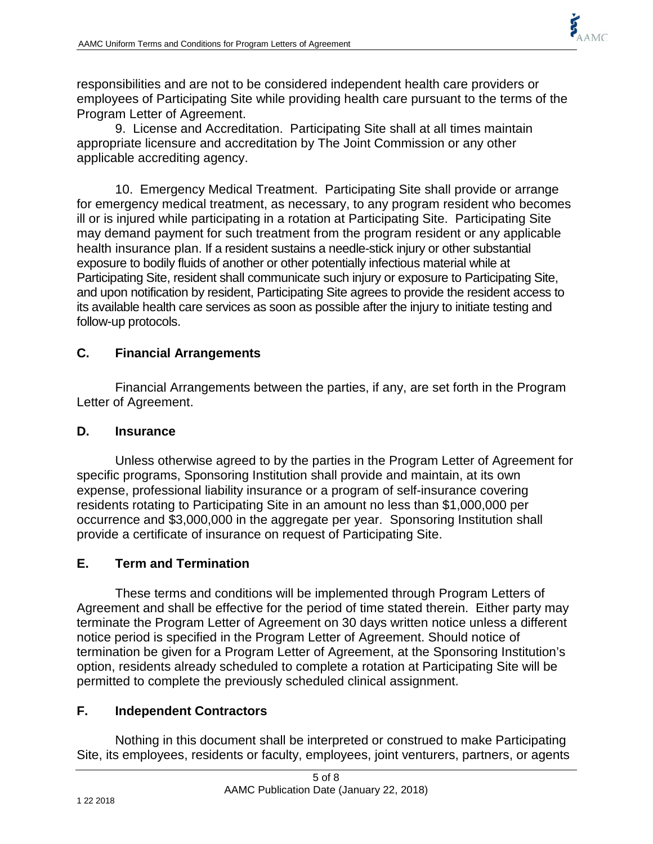

responsibilities and are not to be considered independent health care providers or employees of Participating Site while providing health care pursuant to the terms of the Program Letter of Agreement.

9. License and Accreditation. Participating Site shall at all times maintain appropriate licensure and accreditation by The Joint Commission or any other applicable accrediting agency.

10. Emergency Medical Treatment. Participating Site shall provide or arrange for emergency medical treatment, as necessary, to any program resident who becomes ill or is injured while participating in a rotation at Participating Site. Participating Site may demand payment for such treatment from the program resident or any applicable health insurance plan. If a resident sustains a needle-stick injury or other substantial exposure to bodily fluids of another or other potentially infectious material while at Participating Site, resident shall communicate such injury or exposure to Participating Site, and upon notification by resident, Participating Site agrees to provide the resident access to its available health care services as soon as possible after the injury to initiate testing and follow-up protocols.

### **C. Financial Arrangements**

Financial Arrangements between the parties, if any, are set forth in the Program Letter of Agreement.

#### **D. Insurance**

Unless otherwise agreed to by the parties in the Program Letter of Agreement for specific programs, Sponsoring Institution shall provide and maintain, at its own expense, professional liability insurance or a program of self-insurance covering residents rotating to Participating Site in an amount no less than \$1,000,000 per occurrence and \$3,000,000 in the aggregate per year. Sponsoring Institution shall provide a certificate of insurance on request of Participating Site.

#### **E. Term and Termination**

These terms and conditions will be implemented through Program Letters of Agreement and shall be effective for the period of time stated therein. Either party may terminate the Program Letter of Agreement on 30 days written notice unless a different notice period is specified in the Program Letter of Agreement. Should notice of termination be given for a Program Letter of Agreement, at the Sponsoring Institution's option, residents already scheduled to complete a rotation at Participating Site will be permitted to complete the previously scheduled clinical assignment.

# **F. Independent Contractors**

Nothing in this document shall be interpreted or construed to make Participating Site, its employees, residents or faculty, employees, joint venturers, partners, or agents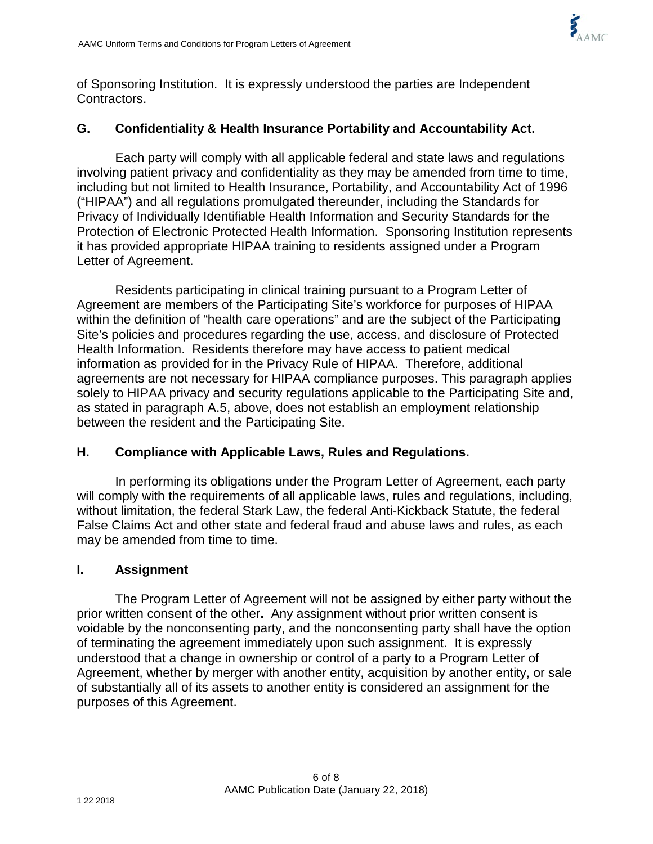

of Sponsoring Institution. It is expressly understood the parties are Independent Contractors.

### **G. Confidentiality & Health Insurance Portability and Accountability Act.**

Each party will comply with all applicable federal and state laws and regulations involving patient privacy and confidentiality as they may be amended from time to time, including but not limited to Health Insurance, Portability, and Accountability Act of 1996 ("HIPAA") and all regulations promulgated thereunder, including the Standards for Privacy of Individually Identifiable Health Information and Security Standards for the Protection of Electronic Protected Health Information. Sponsoring Institution represents it has provided appropriate HIPAA training to residents assigned under a Program Letter of Agreement.

Residents participating in clinical training pursuant to a Program Letter of Agreement are members of the Participating Site's workforce for purposes of HIPAA within the definition of "health care operations" and are the subject of the Participating Site's policies and procedures regarding the use, access, and disclosure of Protected Health Information. Residents therefore may have access to patient medical information as provided for in the Privacy Rule of HIPAA. Therefore, additional agreements are not necessary for HIPAA compliance purposes. This paragraph applies solely to HIPAA privacy and security regulations applicable to the Participating Site and, as stated in paragraph A.5, above, does not establish an employment relationship between the resident and the Participating Site.

#### **H. Compliance with Applicable Laws, Rules and Regulations.**

In performing its obligations under the Program Letter of Agreement, each party will comply with the requirements of all applicable laws, rules and regulations, including, without limitation, the federal Stark Law, the federal Anti-Kickback Statute, the federal False Claims Act and other state and federal fraud and abuse laws and rules, as each may be amended from time to time.

#### **I. Assignment**

The Program Letter of Agreement will not be assigned by either party without the prior written consent of the other**.** Any assignment without prior written consent is voidable by the nonconsenting party, and the nonconsenting party shall have the option of terminating the agreement immediately upon such assignment. It is expressly understood that a change in ownership or control of a party to a Program Letter of Agreement, whether by merger with another entity, acquisition by another entity, or sale of substantially all of its assets to another entity is considered an assignment for the purposes of this Agreement.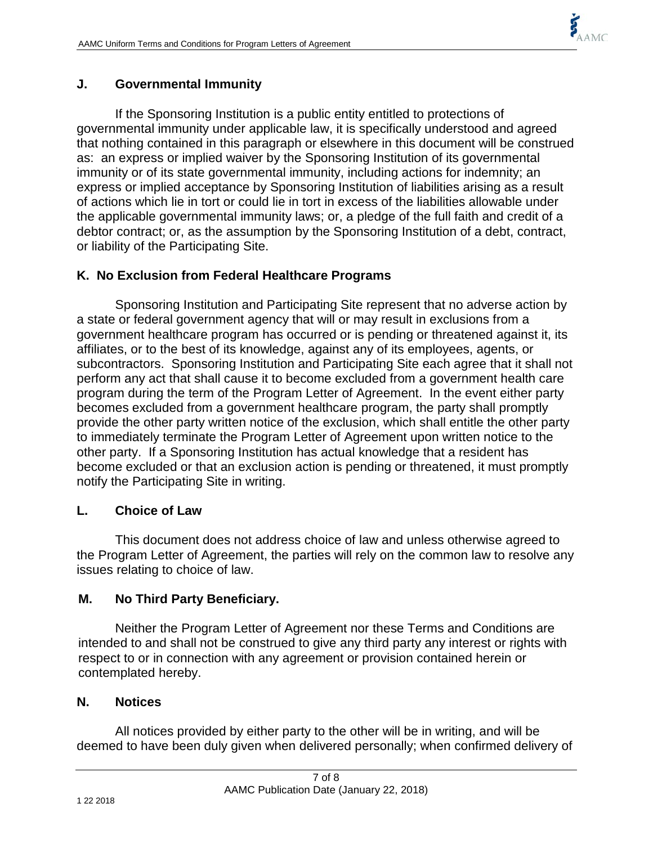

#### **J. Governmental Immunity**

If the Sponsoring Institution is a public entity entitled to protections of governmental immunity under applicable law, it is specifically understood and agreed that nothing contained in this paragraph or elsewhere in this document will be construed as: an express or implied waiver by the Sponsoring Institution of its governmental immunity or of its state governmental immunity, including actions for indemnity; an express or implied acceptance by Sponsoring Institution of liabilities arising as a result of actions which lie in tort or could lie in tort in excess of the liabilities allowable under the applicable governmental immunity laws; or, a pledge of the full faith and credit of a debtor contract; or, as the assumption by the Sponsoring Institution of a debt, contract, or liability of the Participating Site.

# **K. No Exclusion from Federal Healthcare Programs**

Sponsoring Institution and Participating Site represent that no adverse action by a state or federal government agency that will or may result in exclusions from a government healthcare program has occurred or is pending or threatened against it, its affiliates, or to the best of its knowledge, against any of its employees, agents, or subcontractors. Sponsoring Institution and Participating Site each agree that it shall not perform any act that shall cause it to become excluded from a government health care program during the term of the Program Letter of Agreement. In the event either party becomes excluded from a government healthcare program, the party shall promptly provide the other party written notice of the exclusion, which shall entitle the other party to immediately terminate the Program Letter of Agreement upon written notice to the other party. If a Sponsoring Institution has actual knowledge that a resident has become excluded or that an exclusion action is pending or threatened, it must promptly notify the Participating Site in writing.

#### **L. Choice of Law**

This document does not address choice of law and unless otherwise agreed to the Program Letter of Agreement, the parties will rely on the common law to resolve any issues relating to choice of law.

#### **M. No Third Party Beneficiary.**

Neither the Program Letter of Agreement nor these Terms and Conditions are intended to and shall not be construed to give any third party any interest or rights with respect to or in connection with any agreement or provision contained herein or contemplated hereby.

#### **N. Notices**

All notices provided by either party to the other will be in writing, and will be deemed to have been duly given when delivered personally; when confirmed delivery of